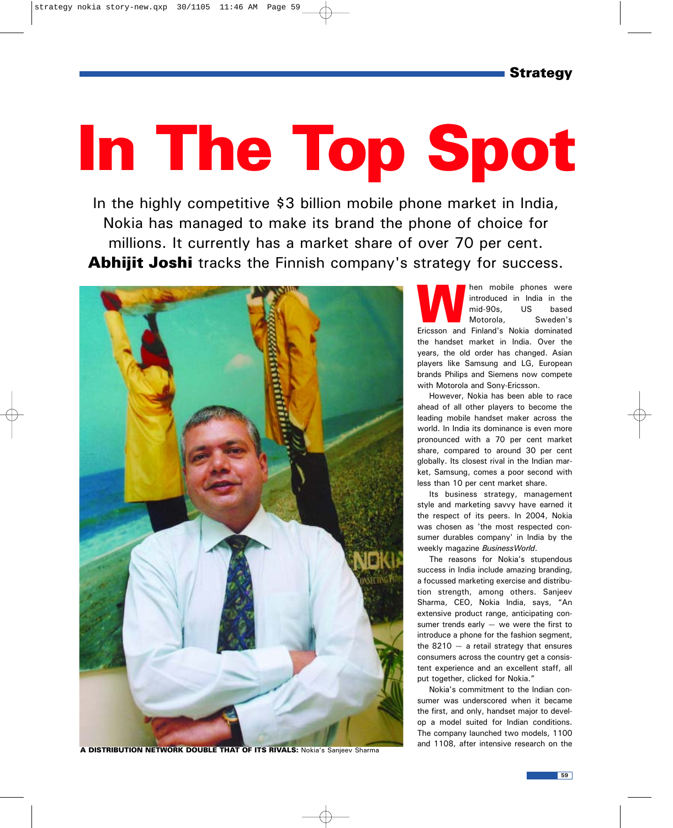## In The Top Spot

In the highly competitive \$3 billion mobile phone market in India, Nokia has managed to make its brand the phone of choice for millions. It currently has a market share of over 70 per cent. Abhijit Joshi tracks the Finnish company's strategy for success.



A DISTRIBUTION NETWORK DOUBLE THAT OF ITS RIVALS: Nokia's Sanjeev Sharma

Man mobile phones were<br>
introduced in India in the<br>
mid-90s, US based<br>
Motorola, Sweden's<br>
Ericsson and Finland's Nokia dominated introduced in India in the mid-90s, US based Motorola, Sweden's the handset market in India. Over the years, the old order has changed. Asian players like Samsung and LG, European brands Philips and Siemens now compete with Motorola and Sony-Ericsson.

However, Nokia has been able to race ahead of all other players to become the leading mobile handset maker across the world. In India its dominance is even more pronounced with a 70 per cent market share, compared to around 30 per cent globally. Its closest rival in the Indian market, Samsung, comes a poor second with less than 10 per cent market share.

Its business strategy, management style and marketing savvy have earned it the respect of its peers. In 2004, Nokia was chosen as 'the most respected consumer durables company' in India by the weekly magazine *BusinessWorld*.

The reasons for Nokia's stupendous success in India include amazing branding, a focussed marketing exercise and distribution strength, among others. Sanjeev Sharma, CEO, Nokia India, says, "An extensive product range, anticipating consumer trends early  $-$  we were the first to introduce a phone for the fashion segment, the  $8210 - a$  retail strategy that ensures consumers across the country get a consistent experience and an excellent staff, all put together, clicked for Nokia."

Nokia's commitment to the Indian consumer was underscored when it became the first, and only, handset major to develop a model suited for Indian conditions. The company launched two models, 1100 and 1108, after intensive research on the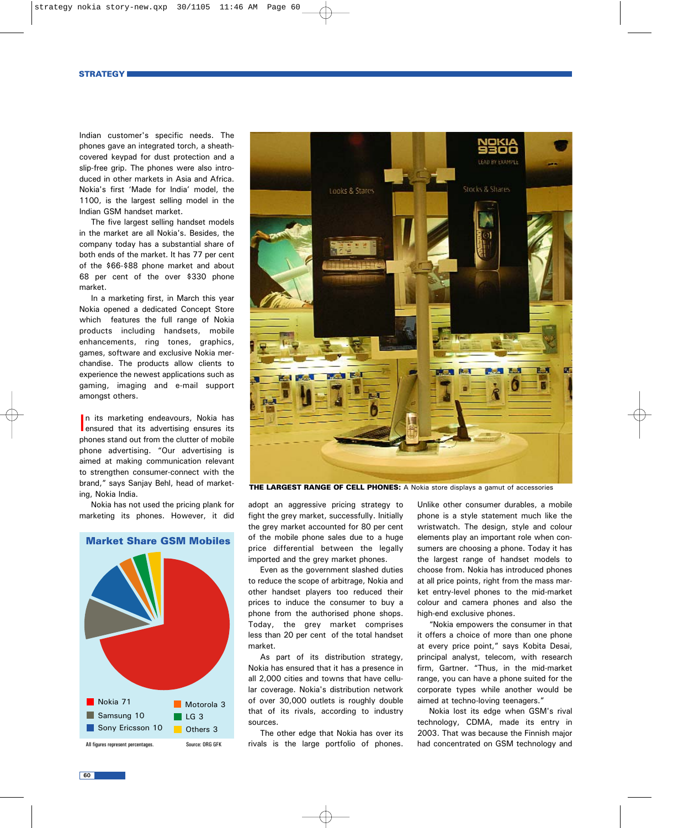Indian customer's specific needs. The phones gave an integrated torch, a sheathcovered keypad for dust protection and a slip-free grip. The phones were also introduced in other markets in Asia and Africa. Nokia's first 'Made for India' model, the 1100, is the largest selling model in the Indian GSM handset market.

The five largest selling handset models in the market are all Nokia's. Besides, the company today has a substantial share of both ends of the market. It has 77 per cent of the \$66-\$88 phone market and about 68 per cent of the over \$330 phone market.

In a marketing first, in March this year Nokia opened a dedicated Concept Store which features the full range of Nokia products including handsets, mobile enhancements, ring tones, graphics, games, software and exclusive Nokia merchandise. The products allow clients to experience the newest applications such as gaming, imaging and e-mail support amongst others.

In its marketing endeavours, Nokia has<br>ensured that its advertising ensures its n its marketing endeavours, Nokia has phones stand out from the clutter of mobile phone advertising. "Our advertising is aimed at making communication relevant to strengthen consumer-connect with the brand," says Sanjay Behl, head of marketing, Nokia India.

Nokia has not used the pricing plank for marketing its phones. However, it did





**THE LARGEST RANGE OF CELL PHONES:** A Nokia store displays a gamut of accessories

adopt an aggressive pricing strategy to fight the grey market, successfully. Initially the grey market accounted for 80 per cent of the mobile phone sales due to a huge price differential between the legally imported and the grey market phones.

Even as the government slashed duties to reduce the scope of arbitrage, Nokia and other handset players too reduced their prices to induce the consumer to buy a phone from the authorised phone shops. Today, the grey market comprises less than 20 per cent of the total handset market.

As part of its distribution strategy, Nokia has ensured that it has a presence in all 2,000 cities and towns that have cellular coverage. Nokia's distribution network of over 30,000 outlets is roughly double that of its rivals, according to industry sources.

The other edge that Nokia has over its rivals is the large portfolio of phones.

Unlike other consumer durables, a mobile phone is a style statement much like the wristwatch. The design, style and colour elements play an important role when consumers are choosing a phone. Today it has the largest range of handset models to choose from. Nokia has introduced phones at all price points, right from the mass market entry-level phones to the mid-market colour and camera phones and also the high-end exclusive phones.

"Nokia empowers the consumer in that it offers a choice of more than one phone at every price point," says Kobita Desai, principal analyst, telecom, with research firm, Gartner. "Thus, in the mid-market range, you can have a phone suited for the corporate types while another would be aimed at techno-loving teenagers."

Nokia lost its edge when GSM's rival technology, CDMA, made its entry in 2003. That was because the Finnish major had concentrated on GSM technology and